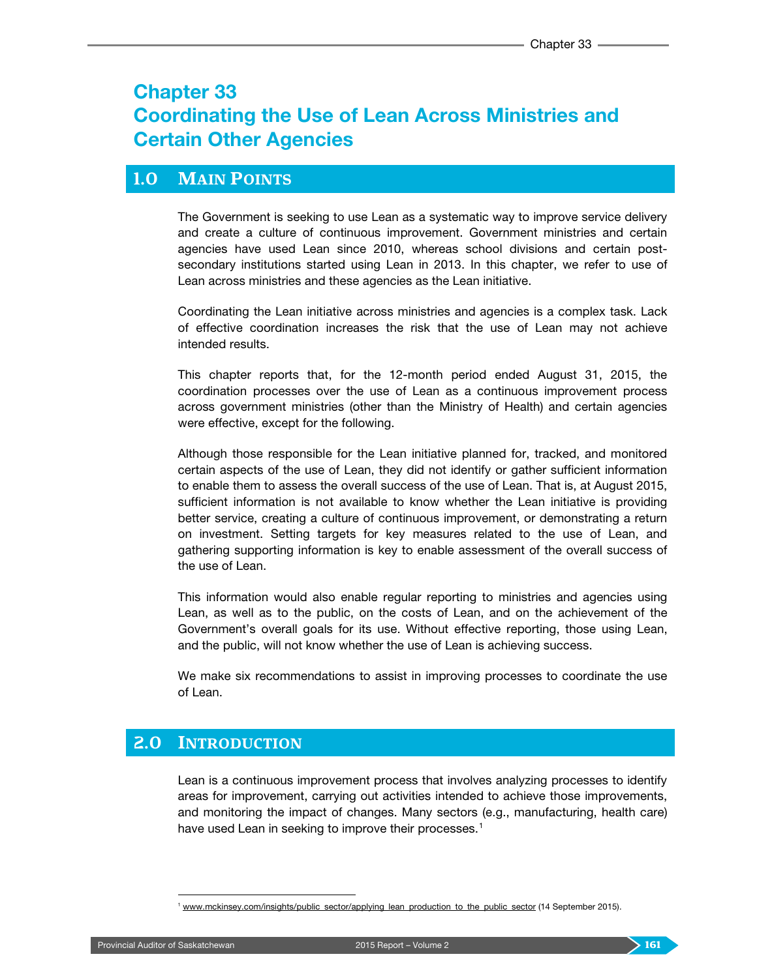# Chapter 33 Coordinating the Use of Lean Across Ministries and Certain Other Agencies

### **1.0 MAIN POINTS**

The Government is seeking to use Lean as a systematic way to improve service delivery and create a culture of continuous improvement. Government ministries and certain agencies have used Lean since 2010, whereas school divisions and certain postsecondary institutions started using Lean in 2013. In this chapter, we refer to use of Lean across ministries and these agencies as the Lean initiative.

Coordinating the Lean initiative across ministries and agencies is a complex task. Lack of effective coordination increases the risk that the use of Lean may not achieve intended results.

This chapter reports that, for the 12-month period ended August 31, 2015, the coordination processes over the use of Lean as a continuous improvement process across government ministries (other than the Ministry of Health) and certain agencies were effective, except for the following.

Although those responsible for the Lean initiative planned for, tracked, and monitored certain aspects of the use of Lean, they did not identify or gather sufficient information to enable them to assess the overall success of the use of Lean. That is, at August 2015, sufficient information is not available to know whether the Lean initiative is providing better service, creating a culture of continuous improvement, or demonstrating a return on investment. Setting targets for key measures related to the use of Lean, and gathering supporting information is key to enable assessment of the overall success of the use of Lean.

This information would also enable regular reporting to ministries and agencies using Lean, as well as to the public, on the costs of Lean, and on the achievement of the Government's overall goals for its use. Without effective reporting, those using Lean, and the public, will not know whether the use of Lean is achieving success.

We make six recommendations to assist in improving processes to coordinate the use of Lean.

### **2.0 INTRODUCTION**

Lean is a continuous improvement process that involves analyzing processes to identify areas for improvement, carrying out activities intended to achieve those improvements, and monitoring the impact of changes. Many sectors (e.g., manufacturing, health care) have used Lean in seeking to improve their processes.<sup>[1](#page-0-0)</sup>

<span id="page-0-0"></span><sup>&</sup>lt;sup>1</sup> [www.mckinsey.com/insights/public\\_sector/applying\\_lean\\_production\\_to\\_the\\_public\\_sector](http://www.mckinsey.com/insights/public_sector/applying_lean_production_to_the_public_sector) (14 September 2015).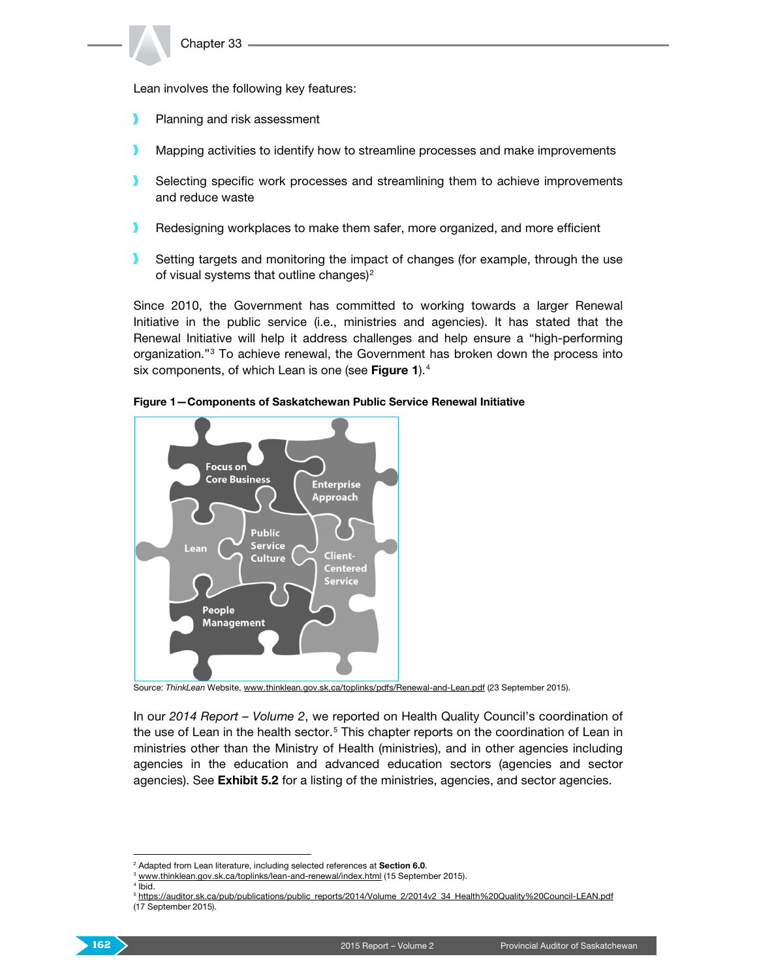Lean involves the following key features:

- У Planning and risk assessment
- Mapping activities to identify how to streamline processes and make improvements
- $\mathbf{v}$ Selecting specific work processes and streamlining them to achieve improvements and reduce waste
- Redesigning workplaces to make them safer, more organized, and more efficient
- Setting targets and monitoring the impact of changes (for example, through the use  $\mathbf{y}$ of visual systems that outline changes) $<sup>2</sup>$  $<sup>2</sup>$  $<sup>2</sup>$ </sup>

Since 2010, the Government has committed to working towards a larger Renewal Initiative in the public service (i.e., ministries and agencies). It has stated that the Renewal Initiative will help it address challenges and help ensure a "high-performing organization."[3](#page-1-1) To achieve renewal, the Government has broken down the process into six components, of which Lean is one (see Figure 1).<sup>[4](#page-1-2)</sup>



Figure 1—Components of Saskatchewan Public Service Renewal Initiative

Source: *ThinkLean* Website[, www.thinklean.gov.sk.ca/toplinks/pdfs/Renewal-and-Lean.pdf](http://www.thinklean.gov.sk.ca/toplinks/pdfs/Renewal-and-Lean.pdf) (23 September 2015).

In our *2014 Report – Volume 2*, we reported on Health Quality Council's coordination of the use of Lean in the health sector.<sup>[5](#page-1-3)</sup> This chapter reports on the coordination of Lean in ministries other than the Ministry of Health (ministries), and in other agencies including agencies in the education and advanced education sectors (agencies and sector agencies). See Exhibit 5.2 for a listing of the ministries, agencies, and sector agencies.

<span id="page-1-3"></span><span id="page-1-2"></span><span id="page-1-1"></span><span id="page-1-0"></span><sup>5</sup> [https://auditor.sk.ca/pub/publications/public\\_reports/2014/Volume\\_2/2014v2\\_34\\_Health%20Quality%20Council-LEAN.pdf](https://auditor.sk.ca/pub/publications/public_reports/2014/Volume_2/2014v2_34_Health%20Quality%20Council-LEAN.pdf) (17 September 2015).



<sup>&</sup>lt;sup>2</sup> Adapted from Lean literature, including selected references at Section 6.0.

<sup>&</sup>lt;sup>3</sup> [www.thinklean.gov.sk.ca/toplinks/lean-and-renewal/index.html](http://www.thinklean.gov.sk.ca/toplinks/lean-and-renewal/index.html) (15 September 2015).

 $4$  Ibid.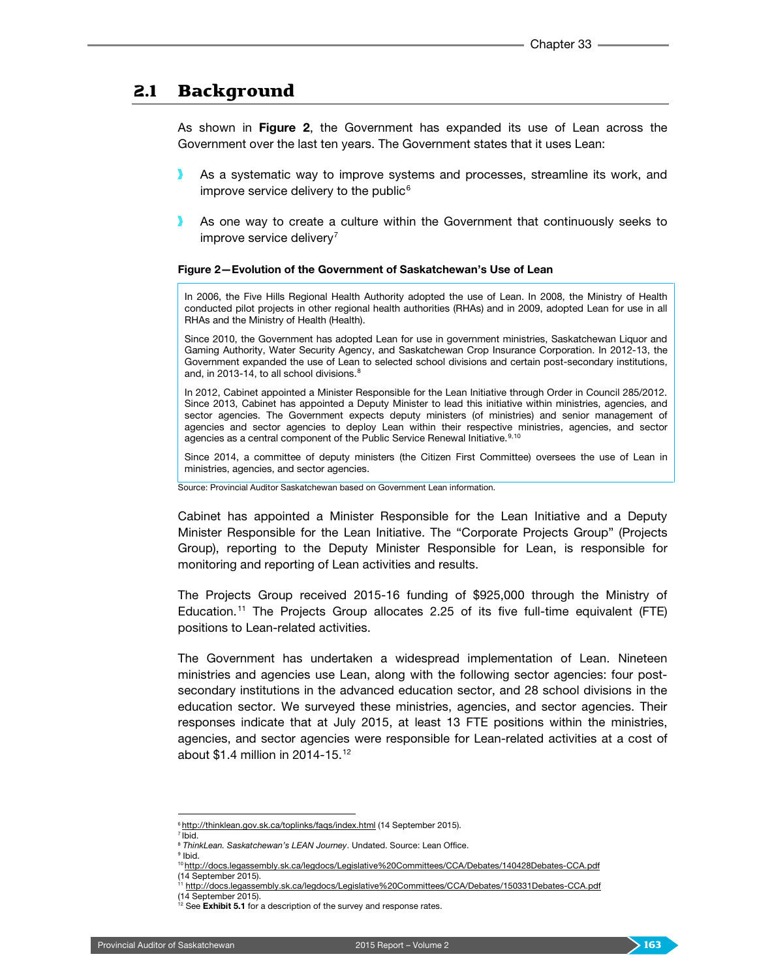### 2.1 Background

As shown in Figure 2, the Government has expanded its use of Lean across the Government over the last ten years. The Government states that it uses Lean:

- As a systematic way to improve systems and processes, streamline its work, and improve service delivery to the public $6$
- As one way to create a culture within the Government that continuously seeks to improve service delivery $<sup>7</sup>$  $<sup>7</sup>$  $<sup>7</sup>$ </sup>

#### Figure 2—Evolution of the Government of Saskatchewan's Use of Lean

In 2006, the Five Hills Regional Health Authority adopted the use of Lean. In 2008, the Ministry of Health conducted pilot projects in other regional health authorities (RHAs) and in 2009, adopted Lean for use in all RHAs and the Ministry of Health (Health).

Since 2010, the Government has adopted Lean for use in government ministries, Saskatchewan Liquor and Gaming Authority, Water Security Agency, and Saskatchewan Crop Insurance Corporation. In 2012-13, the Government expanded the use of Lean to selected school divisions and certain post-secondary institutions, and, in 2013-14, to all school divisions.<sup>[8](#page-2-2)</sup>

In 2012, Cabinet appointed a Minister Responsible for the Lean Initiative through Order in Council 285/2012. Since 2013, Cabinet has appointed a Deputy Minister to lead this initiative within ministries, agencies, and sector agencies. The Government expects deputy ministers (of ministries) and senior management of agencies and sector agencies to deploy Lean within their respective ministries, agencies, and sector agencies as a central component of the Public Service Renewal Initiative.<sup>[9,](#page-2-3)[10](#page-2-4)</sup>

Since 2014, a committee of deputy ministers (the Citizen First Committee) oversees the use of Lean in ministries, agencies, and sector agencies.

Source: Provincial Auditor Saskatchewan based on Government Lean information.

Cabinet has appointed a Minister Responsible for the Lean Initiative and a Deputy Minister Responsible for the Lean Initiative. The "Corporate Projects Group" (Projects Group), reporting to the Deputy Minister Responsible for Lean, is responsible for monitoring and reporting of Lean activities and results.

The Projects Group received 2015-16 funding of \$925,000 through the Ministry of Education.[11](#page-2-5) The Projects Group allocates 2.25 of its five full-time equivalent (FTE) positions to Lean-related activities.

The Government has undertaken a widespread implementation of Lean. Nineteen ministries and agencies use Lean, along with the following sector agencies: four postsecondary institutions in the advanced education sector, and 28 school divisions in the education sector. We surveyed these ministries, agencies, and sector agencies. Their responses indicate that at July 2015, at least 13 FTE positions within the ministries, agencies, and sector agencies were responsible for Lean-related activities at a cost of about \$1.4 million in 2014-15.[12](#page-2-6)

<span id="page-2-2"></span><span id="page-2-1"></span><span id="page-2-0"></span> $7$ Ibid.

<sup>&</sup>lt;sup>6</sup> <http://thinklean.gov.sk.ca/toplinks/faqs/index.html> (14 September 2015).

<sup>8</sup> *ThinkLean. Saskatchewan's LEAN Journey*. Undated. Source: Lean Office. <sup>9</sup> Ibid.

<sup>10</sup> <http://docs.legassembly.sk.ca/legdocs/Legislative%20Committees/CCA/Debates/140428Debates-CCA.pdf>

<span id="page-2-4"></span><span id="page-2-3"></span><sup>(14</sup> September 2015).

<sup>&</sup>lt;sup>11</sup> <http://docs.legassembly.sk.ca/legdocs/Legislative%20Committees/CCA/Debates/150331Debates-CCA.pdf>

<sup>(14</sup> September 2015).

<span id="page-2-6"></span><span id="page-2-5"></span>See Exhibit 5.1 for a description of the survey and response rates.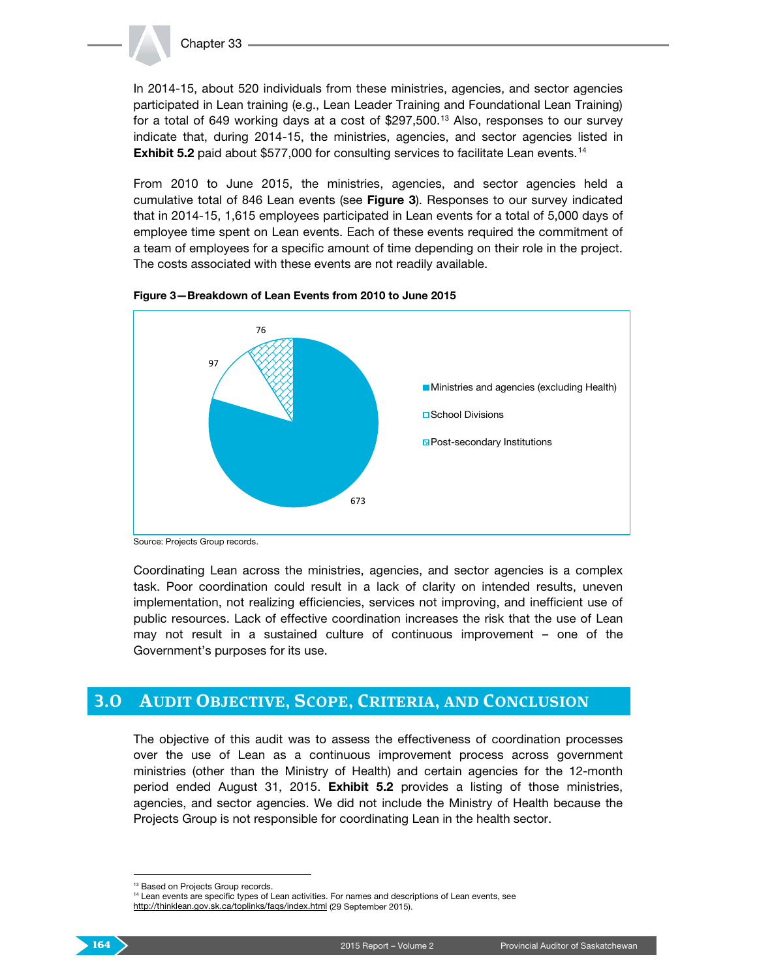

In 2014-15, about 520 individuals from these ministries, agencies, and sector agencies participated in Lean training (e.g., Lean Leader Training and Foundational Lean Training) for a total of 649 working days at a cost of \$297,500. [13](#page-3-0) Also, responses to our survey indicate that, during 2014-15, the ministries, agencies, and sector agencies listed in **Exhibit 5.2** paid about \$577,000 for consulting services to facilitate Lean events.<sup>[14](#page-3-1)</sup>

From 2010 to June 2015, the ministries, agencies, and sector agencies held a cumulative total of 846 Lean events (see Figure 3). Responses to our survey indicated that in 2014-15, 1,615 employees participated in Lean events for a total of 5,000 days of employee time spent on Lean events. Each of these events required the commitment of a team of employees for a specific amount of time depending on their role in the project. The costs associated with these events are not readily available.





Source: Projects Group records.

Coordinating Lean across the ministries, agencies, and sector agencies is a complex task. Poor coordination could result in a lack of clarity on intended results, uneven implementation, not realizing efficiencies, services not improving, and inefficient use of public resources. Lack of effective coordination increases the risk that the use of Lean may not result in a sustained culture of continuous improvement – one of the Government's purposes for its use.

### **3.0 AUDIT OBJECTIVE, SCOPE, CRITERIA, AND CONCLUSION**

The objective of this audit was to assess the effectiveness of coordination processes over the use of Lean as a continuous improvement process across government ministries (other than the Ministry of Health) and certain agencies for the 12-month period ended August 31, 2015. Exhibit 5.2 provides a listing of those ministries, agencies, and sector agencies. We did not include the Ministry of Health because the Projects Group is not responsible for coordinating Lean in the health sector.

<span id="page-3-1"></span><span id="page-3-0"></span><sup>&</sup>lt;sup>13</sup> Based on Projects Group records.

<sup>&</sup>lt;sup>14</sup> Lean events are specific types of Lean activities. For names and descriptions of Lean events, see <http://thinklean.gov.sk.ca/toplinks/faqs/index.html> (29 September 2015).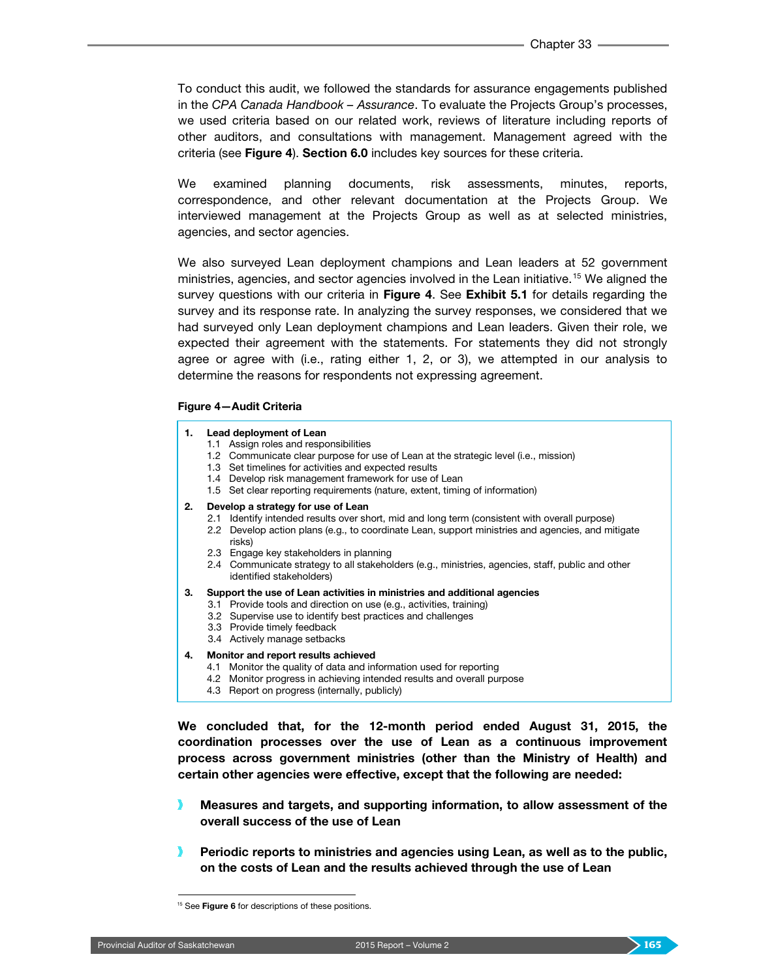To conduct this audit, we followed the standards for assurance engagements published in the *CPA Canada Handbook – Assurance*. To evaluate the Projects Group's processes, we used criteria based on our related work, reviews of literature including reports of other auditors, and consultations with management. Management agreed with the criteria (see Figure 4). Section 6.0 includes key sources for these criteria.

We examined planning documents, risk assessments, minutes, reports, correspondence, and other relevant documentation at the Projects Group. We interviewed management at the Projects Group as well as at selected ministries, agencies, and sector agencies.

We also surveyed Lean deployment champions and Lean leaders at 52 government ministries, agencies, and sector agencies involved in the Lean initiative.<sup>[15](#page-4-0)</sup> We aligned the survey questions with our criteria in Figure 4. See Exhibit 5.1 for details regarding the survey and its response rate. In analyzing the survey responses, we considered that we had surveyed only Lean deployment champions and Lean leaders. Given their role, we expected their agreement with the statements. For statements they did not strongly agree or agree with (i.e., rating either 1, 2, or 3), we attempted in our analysis to determine the reasons for respondents not expressing agreement.

#### Figure 4—Audit Criteria

#### 1. Lead deployment of Lean

- 1.1 Assign roles and responsibilities
- 1.2 Communicate clear purpose for use of Lean at the strategic level (i.e., mission)
- 1.3 Set timelines for activities and expected results
- 1.4 Develop risk management framework for use of Lean
- 1.5 Set clear reporting requirements (nature, extent, timing of information)

#### 2. Develop a strategy for use of Lean

- 2.1 Identify intended results over short, mid and long term (consistent with overall purpose) 2.2 Develop action plans (e.g., to coordinate Lean, support ministries and agencies, and mitigate risks)
- 2.3 Engage key stakeholders in planning
- 2.4 Communicate strategy to all stakeholders (e.g., ministries, agencies, staff, public and other identified stakeholders)
- 3. Support the use of Lean activities in ministries and additional agencies
	- 3.1 Provide tools and direction on use (e.g., activities, training)
	- 3.2 Supervise use to identify best practices and challenges
	- 3.3 Provide timely feedback
	- 3.4 Actively manage setbacks

#### 4. Monitor and report results achieved

- 4.1 Monitor the quality of data and information used for reporting
- 4.2 Monitor progress in achieving intended results and overall purpose
- 4.3 Report on progress (internally, publicly)

We concluded that, for the 12-month period ended August 31, 2015, the coordination processes over the use of Lean as a continuous improvement process across government ministries (other than the Ministry of Health) and certain other agencies were effective, except that the following are needed:

- Measures and targets, and supporting information, to allow assessment of the overall success of the use of Lean
- Periodic reports to ministries and agencies using Lean, as well as to the public, on the costs of Lean and the results achieved through the use of Lean

<span id="page-4-0"></span><sup>&</sup>lt;sup>15</sup> See Figure 6 for descriptions of these positions.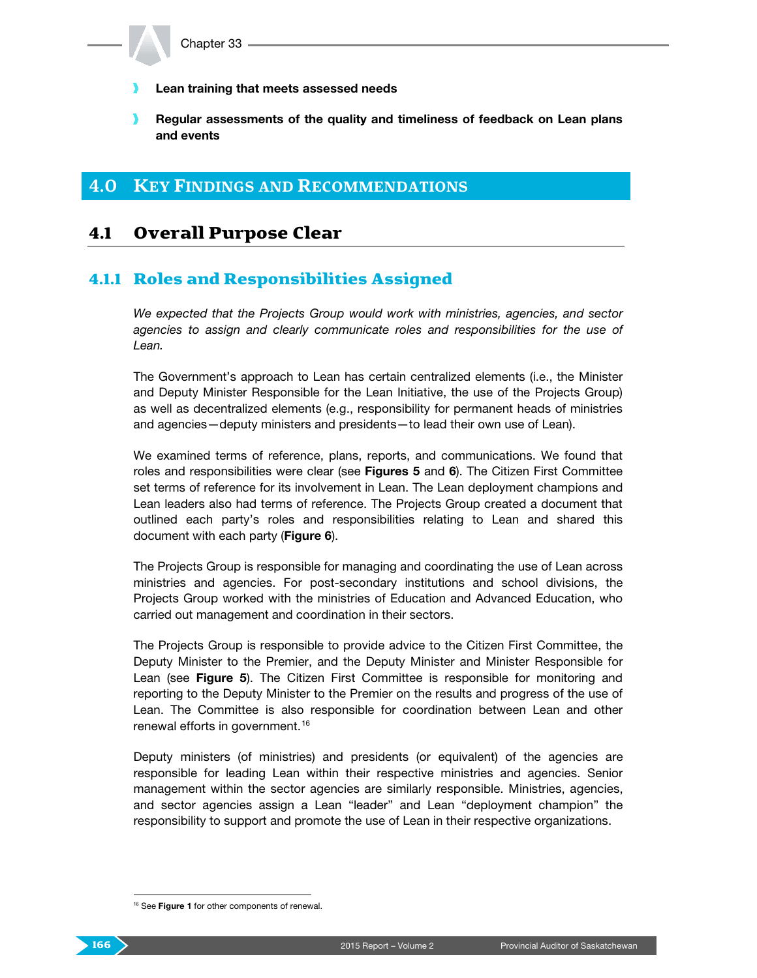- Lean training that meets assessed needs
- $\mathbf{v}$ Regular assessments of the quality and timeliness of feedback on Lean plans and events

### **4.0 KEY FINDINGS AND RECOMMENDATIONS**

## 4.1 Overall Purpose Clear

#### 4.1.1 Roles and Responsibilities Assigned

*We expected that the Projects Group would work with ministries, agencies, and sector agencies to assign and clearly communicate roles and responsibilities for the use of Lean.*

The Government's approach to Lean has certain centralized elements (i.e., the Minister and Deputy Minister Responsible for the Lean Initiative, the use of the Projects Group) as well as decentralized elements (e.g., responsibility for permanent heads of ministries and agencies—deputy ministers and presidents—to lead their own use of Lean).

We examined terms of reference, plans, reports, and communications. We found that roles and responsibilities were clear (see Figures  $5$  and  $6$ ). The Citizen First Committee set terms of reference for its involvement in Lean. The Lean deployment champions and Lean leaders also had terms of reference. The Projects Group created a document that outlined each party's roles and responsibilities relating to Lean and shared this document with each party (Figure 6).

The Projects Group is responsible for managing and coordinating the use of Lean across ministries and agencies. For post-secondary institutions and school divisions, the Projects Group worked with the ministries of Education and Advanced Education, who carried out management and coordination in their sectors.

The Projects Group is responsible to provide advice to the Citizen First Committee, the Deputy Minister to the Premier, and the Deputy Minister and Minister Responsible for Lean (see Figure 5). The Citizen First Committee is responsible for monitoring and reporting to the Deputy Minister to the Premier on the results and progress of the use of Lean. The Committee is also responsible for coordination between Lean and other renewal efforts in government.<sup>[16](#page-5-0)</sup>

Deputy ministers (of ministries) and presidents (or equivalent) of the agencies are responsible for leading Lean within their respective ministries and agencies. Senior management within the sector agencies are similarly responsible. Ministries, agencies, and sector agencies assign a Lean "leader" and Lean "deployment champion" the responsibility to support and promote the use of Lean in their respective organizations.

<span id="page-5-0"></span><sup>&</sup>lt;sup>16</sup> See Figure 1 for other components of renewal.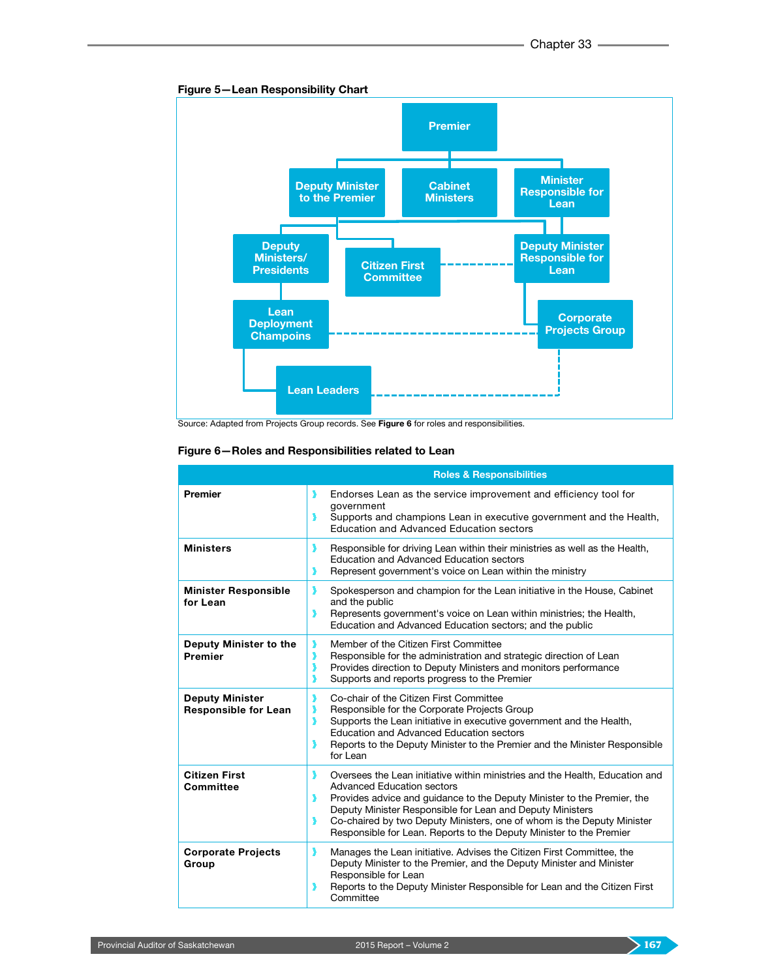



Source: Adapted from Projects Group records. See Figure 6 for roles and responsibilities.

| Figure 6-Roles and Responsibilities related to Lean |  |  |  |  |  |
|-----------------------------------------------------|--|--|--|--|--|
|-----------------------------------------------------|--|--|--|--|--|

|                                                       | <b>Roles &amp; Responsibilities</b>                                                                                                                                                                                                                                                                                                                                                                                       |
|-------------------------------------------------------|---------------------------------------------------------------------------------------------------------------------------------------------------------------------------------------------------------------------------------------------------------------------------------------------------------------------------------------------------------------------------------------------------------------------------|
| <b>Premier</b>                                        | Endorses Lean as the service improvement and efficiency tool for<br>government<br>Supports and champions Lean in executive government and the Health,<br>Education and Advanced Education sectors                                                                                                                                                                                                                         |
| <b>Ministers</b>                                      | Responsible for driving Lean within their ministries as well as the Health,<br>y<br>Education and Advanced Education sectors<br>Represent government's voice on Lean within the ministry<br>D                                                                                                                                                                                                                             |
| <b>Minister Responsible</b><br>for Lean               | ,<br>Spokesperson and champion for the Lean initiative in the House, Cabinet<br>and the public<br>Represents government's voice on Lean within ministries; the Health,<br>,<br>Education and Advanced Education sectors; and the public                                                                                                                                                                                   |
| Deputy Minister to the<br>Premier                     | Member of the Citizen First Committee<br>Responsible for the administration and strategic direction of Lean<br>,<br>Provides direction to Deputy Ministers and monitors performance<br>Supports and reports progress to the Premier                                                                                                                                                                                       |
| <b>Deputy Minister</b><br><b>Responsible for Lean</b> | ,<br>Co-chair of the Citizen First Committee<br>Responsible for the Corporate Projects Group<br>Supports the Lean initiative in executive government and the Health,<br>,<br>Education and Advanced Education sectors<br>Reports to the Deputy Minister to the Premier and the Minister Responsible<br>for Lean                                                                                                           |
| <b>Citizen First</b><br>Committee                     | Oversees the Lean initiative within ministries and the Health, Education and<br>,<br><b>Advanced Education sectors</b><br>Provides advice and guidance to the Deputy Minister to the Premier, the<br>э<br>Deputy Minister Responsible for Lean and Deputy Ministers<br>Co-chaired by two Deputy Ministers, one of whom is the Deputy Minister<br>,<br>Responsible for Lean. Reports to the Deputy Minister to the Premier |
| <b>Corporate Projects</b><br>Group                    | У<br>Manages the Lean initiative. Advises the Citizen First Committee, the<br>Deputy Minister to the Premier, and the Deputy Minister and Minister<br>Responsible for Lean<br>Reports to the Deputy Minister Responsible for Lean and the Citizen First<br>Committee                                                                                                                                                      |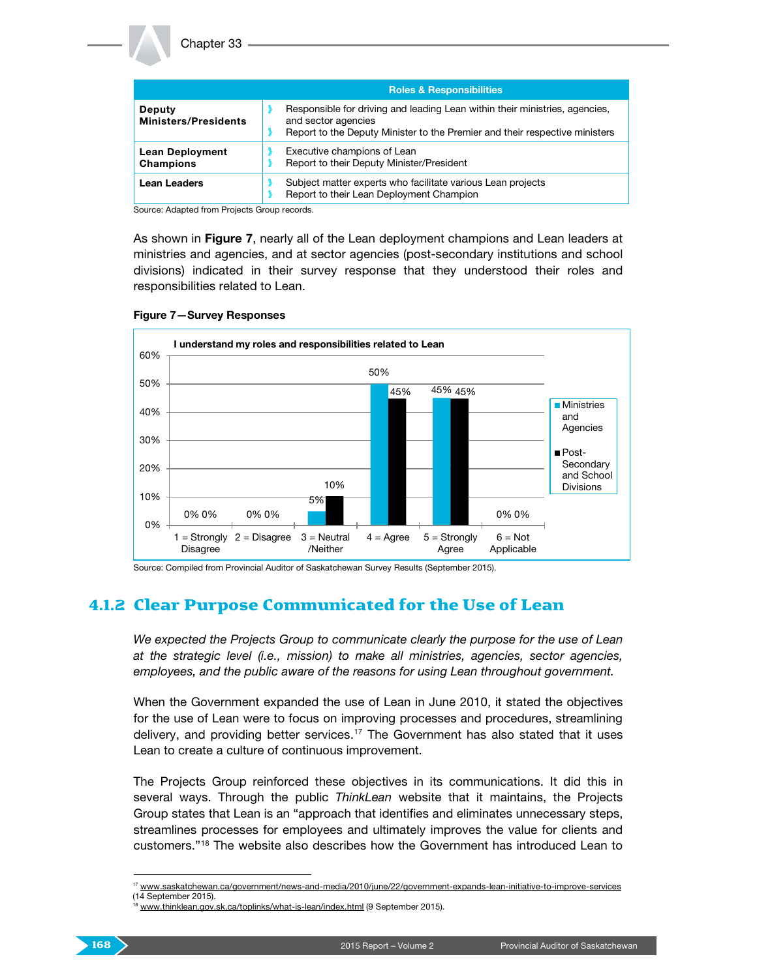|                                              | <b>Roles &amp; Responsibilities</b>                                                                                                                                               |  |  |
|----------------------------------------------|-----------------------------------------------------------------------------------------------------------------------------------------------------------------------------------|--|--|
| <b>Deputy</b><br><b>Ministers/Presidents</b> | Responsible for driving and leading Lean within their ministries, agencies,<br>and sector agencies<br>Report to the Deputy Minister to the Premier and their respective ministers |  |  |
| <b>Lean Deployment</b><br><b>Champions</b>   | Executive champions of Lean<br>Report to their Deputy Minister/President                                                                                                          |  |  |
| <b>Lean Leaders</b>                          | Subject matter experts who facilitate various Lean projects<br>Report to their Lean Deployment Champion                                                                           |  |  |

Source: Adapted from Projects Group records.

As shown in Figure 7, nearly all of the Lean deployment champions and Lean leaders at ministries and agencies, and at sector agencies (post-secondary institutions and school divisions) indicated in their survey response that they understood their roles and responsibilities related to Lean.



#### Figure 7—Survey Responses

Source: Compiled from Provincial Auditor of Saskatchewan Survey Results (September 2015).

### 4.1.2 Clear Purpose Communicated for the Use of Lean

*We expected the Projects Group to communicate clearly the purpose for the use of Lean at the strategic level (i.e., mission) to make all ministries, agencies, sector agencies, employees, and the public aware of the reasons for using Lean throughout government.*

When the Government expanded the use of Lean in June 2010, it stated the objectives for the use of Lean were to focus on improving processes and procedures, streamlining delivery, and providing better services.[17](#page-7-0) The Government has also stated that it uses Lean to create a culture of continuous improvement.

The Projects Group reinforced these objectives in its communications. It did this in several ways. Through the public *ThinkLean* website that it maintains, the Projects Group states that Lean is an "approach that identifies and eliminates unnecessary steps, streamlines processes for employees and ultimately improves the value for clients and customers."[18](#page-7-1) The website also describes how the Government has introduced Lean to

<span id="page-7-1"></span><span id="page-7-0"></span><sup>&</sup>lt;sup>17</sup> [www.saskatchewan.ca/government/news-and-media/2010/june/22/government-expands-lean-initiative-to-improve-services](http://www.saskatchewan.ca/government/news-and-media/2010/june/22/government-expands-lean-initiative-to-improve-services) (14 September 2015).

[www.thinklean.gov.sk.ca/toplinks/what-is-lean/index.html](http://www.thinklean.gov.sk.ca/toplinks/what-is-lean/index.html) (9 September 2015).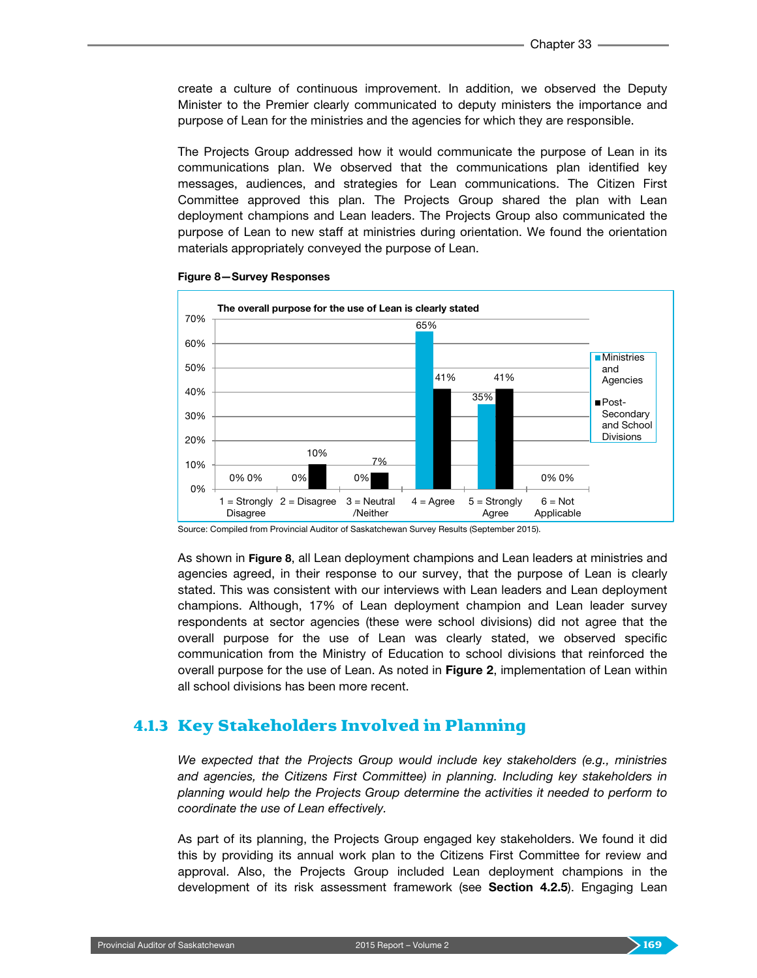create a culture of continuous improvement. In addition, we observed the Deputy Minister to the Premier clearly communicated to deputy ministers the importance and purpose of Lean for the ministries and the agencies for which they are responsible.

The Projects Group addressed how it would communicate the purpose of Lean in its communications plan. We observed that the communications plan identified key messages, audiences, and strategies for Lean communications. The Citizen First Committee approved this plan. The Projects Group shared the plan with Lean deployment champions and Lean leaders. The Projects Group also communicated the purpose of Lean to new staff at ministries during orientation. We found the orientation materials appropriately conveyed the purpose of Lean.



Figure 8—Survey Responses

Source: Compiled from Provincial Auditor of Saskatchewan Survey Results (September 2015).

As shown in Figure 8, all Lean deployment champions and Lean leaders at ministries and agencies agreed, in their response to our survey, that the purpose of Lean is clearly stated. This was consistent with our interviews with Lean leaders and Lean deployment champions. Although, 17% of Lean deployment champion and Lean leader survey respondents at sector agencies (these were school divisions) did not agree that the overall purpose for the use of Lean was clearly stated, we observed specific communication from the Ministry of Education to school divisions that reinforced the overall purpose for the use of Lean. As noted in Figure 2, implementation of Lean within all school divisions has been more recent.

### 4.1.3 Key Stakeholders Involved in Planning

*We expected that the Projects Group would include key stakeholders (e.g., ministries and agencies, the Citizens First Committee) in planning. Including key stakeholders in planning would help the Projects Group determine the activities it needed to perform to coordinate the use of Lean effectively.*

As part of its planning, the Projects Group engaged key stakeholders. We found it did this by providing its annual work plan to the Citizens First Committee for review and approval. Also, the Projects Group included Lean deployment champions in the development of its risk assessment framework (see Section 4.2.5). Engaging Lean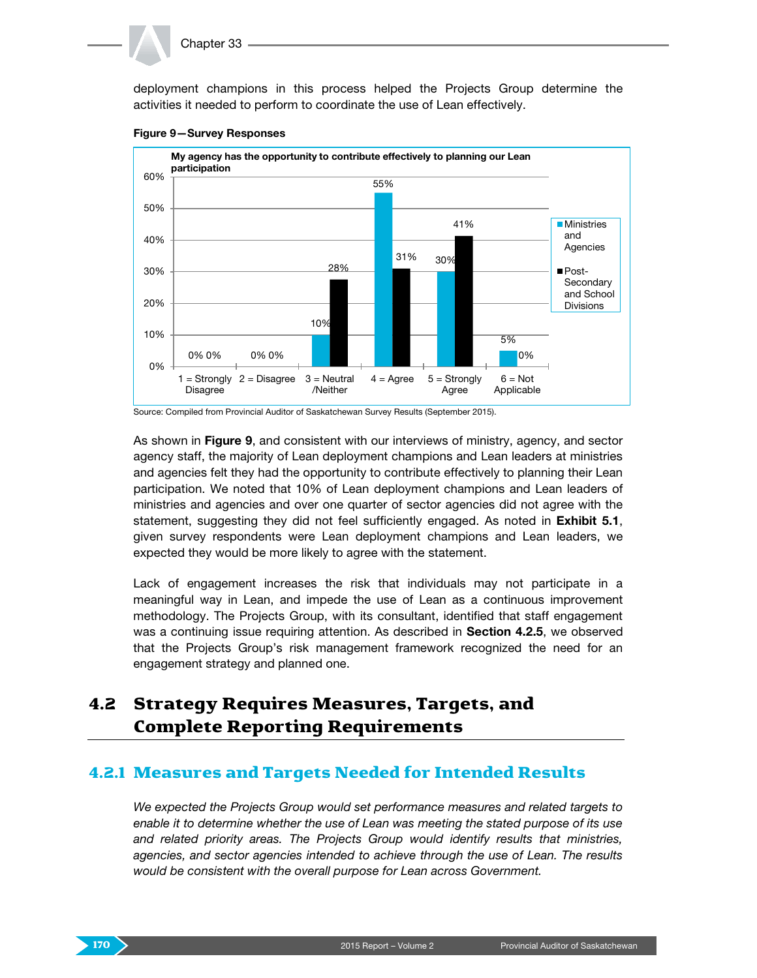#### Chapter 33

deployment champions in this process helped the Projects Group determine the activities it needed to perform to coordinate the use of Lean effectively.



#### Figure 9—Survey Responses

As shown in Figure 9, and consistent with our interviews of ministry, agency, and sector agency staff, the majority of Lean deployment champions and Lean leaders at ministries and agencies felt they had the opportunity to contribute effectively to planning their Lean participation. We noted that 10% of Lean deployment champions and Lean leaders of ministries and agencies and over one quarter of sector agencies did not agree with the statement, suggesting they did not feel sufficiently engaged. As noted in **Exhibit 5.1**, given survey respondents were Lean deployment champions and Lean leaders, we expected they would be more likely to agree with the statement.

Lack of engagement increases the risk that individuals may not participate in a meaningful way in Lean, and impede the use of Lean as a continuous improvement methodology. The Projects Group, with its consultant, identified that staff engagement was a continuing issue requiring attention. As described in Section 4.2.5, we observed that the Projects Group's risk management framework recognized the need for an engagement strategy and planned one.

## 4.2 Strategy Requires Measures, Targets, and Complete Reporting Requirements

## 4.2.1 Measures and Targets Needed for Intended Results

*We expected the Projects Group would set performance measures and related targets to enable it to determine whether the use of Lean was meeting the stated purpose of its use and related priority areas. The Projects Group would identify results that ministries, agencies, and sector agencies intended to achieve through the use of Lean. The results would be consistent with the overall purpose for Lean across Government.*



Source: Compiled from Provincial Auditor of Saskatchewan Survey Results (September 2015).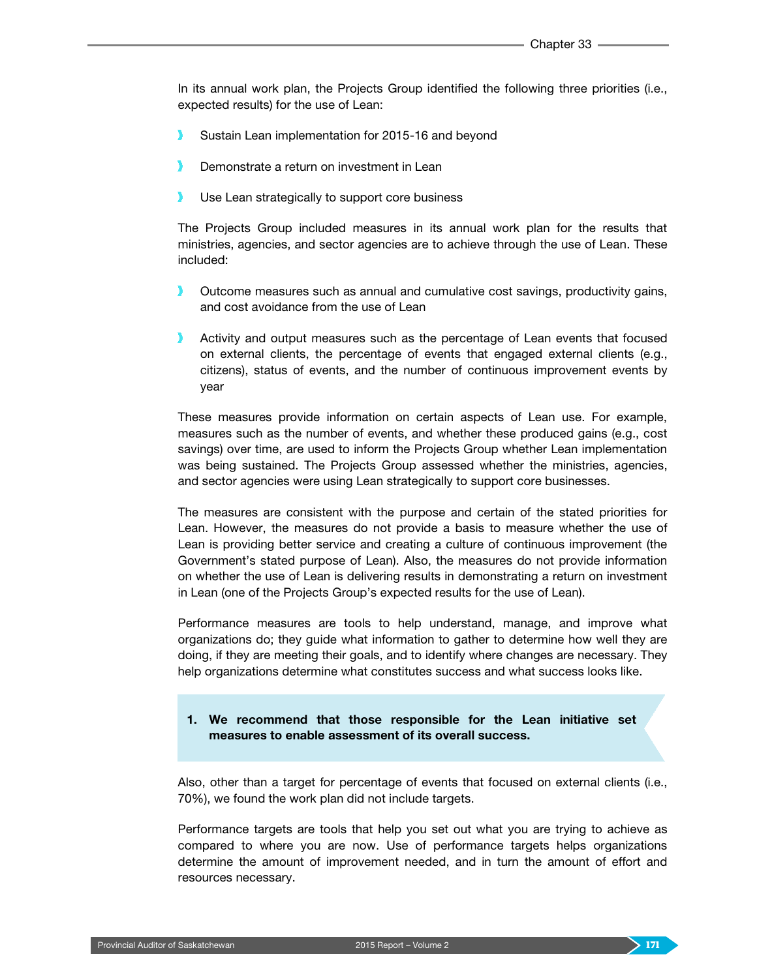In its annual work plan, the Projects Group identified the following three priorities (i.e., expected results) for the use of Lean:

- Sustain Lean implementation for 2015-16 and beyond
- Demonstrate a return on investment in Lean
- Use Lean strategically to support core business

The Projects Group included measures in its annual work plan for the results that ministries, agencies, and sector agencies are to achieve through the use of Lean. These included:

- Outcome measures such as annual and cumulative cost savings, productivity gains, and cost avoidance from the use of Lean
- Activity and output measures such as the percentage of Lean events that focused on external clients, the percentage of events that engaged external clients (e.g., citizens), status of events, and the number of continuous improvement events by year

These measures provide information on certain aspects of Lean use. For example, measures such as the number of events, and whether these produced gains (e.g., cost savings) over time, are used to inform the Projects Group whether Lean implementation was being sustained. The Projects Group assessed whether the ministries, agencies, and sector agencies were using Lean strategically to support core businesses.

The measures are consistent with the purpose and certain of the stated priorities for Lean. However, the measures do not provide a basis to measure whether the use of Lean is providing better service and creating a culture of continuous improvement (the Government's stated purpose of Lean). Also, the measures do not provide information on whether the use of Lean is delivering results in demonstrating a return on investment in Lean (one of the Projects Group's expected results for the use of Lean).

Performance measures are tools to help understand, manage, and improve what organizations do; they guide what information to gather to determine how well they are doing, if they are meeting their goals, and to identify where changes are necessary. They help organizations determine what constitutes success and what success looks like.

#### 1. We recommend that those responsible for the Lean initiative set measures to enable assessment of its overall success.

Also, other than a target for percentage of events that focused on external clients (i.e., 70%), we found the work plan did not include targets.

Performance targets are tools that help you set out what you are trying to achieve as compared to where you are now. Use of performance targets helps organizations determine the amount of improvement needed, and in turn the amount of effort and resources necessary.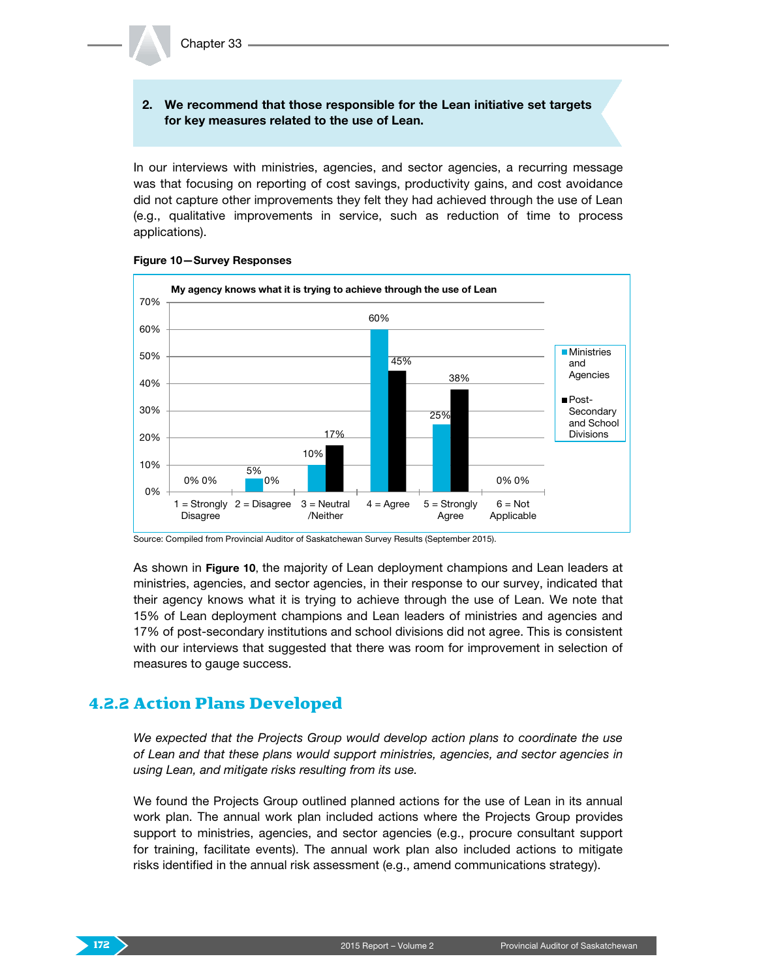#### 2. We recommend that those responsible for the Lean initiative set targets for key measures related to the use of Lean.

In our interviews with ministries, agencies, and sector agencies, a recurring message was that focusing on reporting of cost savings, productivity gains, and cost avoidance did not capture other improvements they felt they had achieved through the use of Lean (e.g., qualitative improvements in service, such as reduction of time to process applications).





As shown in Figure 10, the majority of Lean deployment champions and Lean leaders at ministries, agencies, and sector agencies, in their response to our survey, indicated that their agency knows what it is trying to achieve through the use of Lean. We note that 15% of Lean deployment champions and Lean leaders of ministries and agencies and 17% of post-secondary institutions and school divisions did not agree. This is consistent with our interviews that suggested that there was room for improvement in selection of measures to gauge success.

### 4.2.2 Action Plans Developed

*We expected that the Projects Group would develop action plans to coordinate the use of Lean and that these plans would support ministries, agencies, and sector agencies in using Lean, and mitigate risks resulting from its use.*

We found the Projects Group outlined planned actions for the use of Lean in its annual work plan. The annual work plan included actions where the Projects Group provides support to ministries, agencies, and sector agencies (e.g., procure consultant support for training, facilitate events). The annual work plan also included actions to mitigate risks identified in the annual risk assessment (e.g., amend communications strategy).

Source: Compiled from Provincial Auditor of Saskatchewan Survey Results (September 2015).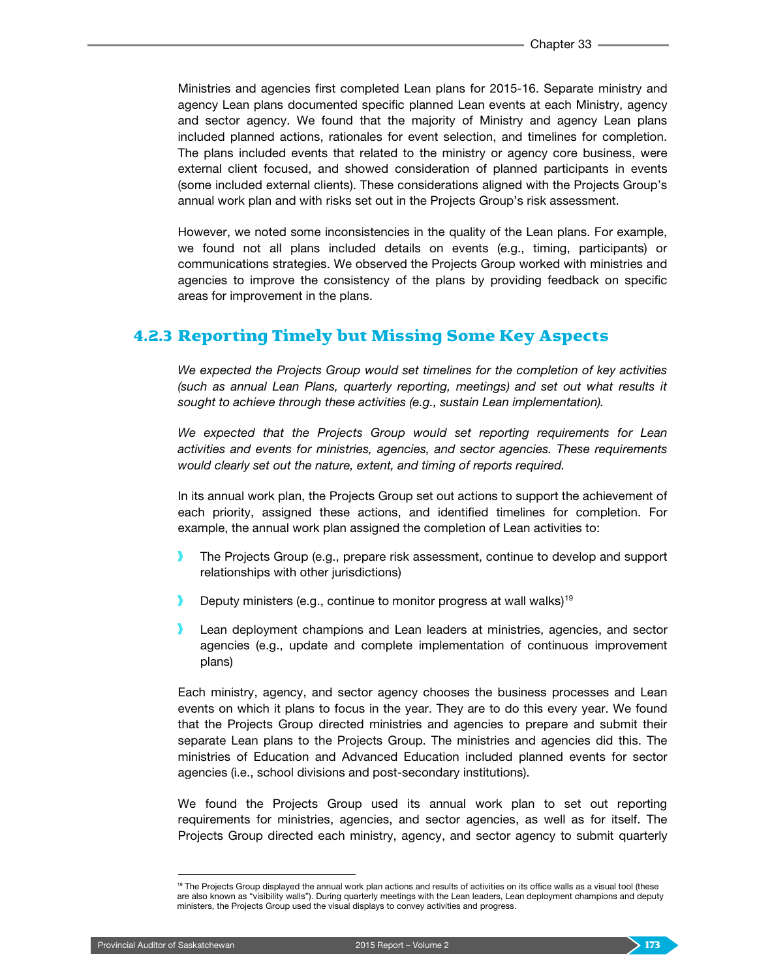Ministries and agencies first completed Lean plans for 2015-16. Separate ministry and agency Lean plans documented specific planned Lean events at each Ministry, agency and sector agency. We found that the majority of Ministry and agency Lean plans included planned actions, rationales for event selection, and timelines for completion. The plans included events that related to the ministry or agency core business, were external client focused, and showed consideration of planned participants in events (some included external clients). These considerations aligned with the Projects Group's annual work plan and with risks set out in the Projects Group's risk assessment.

However, we noted some inconsistencies in the quality of the Lean plans. For example, we found not all plans included details on events (e.g., timing, participants) or communications strategies. We observed the Projects Group worked with ministries and agencies to improve the consistency of the plans by providing feedback on specific areas for improvement in the plans.

### 4.2.3 Reporting Timely but Missing Some Key Aspects

*We expected the Projects Group would set timelines for the completion of key activities (such as annual Lean Plans, quarterly reporting, meetings) and set out what results it sought to achieve through these activities (e.g., sustain Lean implementation).*

*We expected that the Projects Group would set reporting requirements for Lean activities and events for ministries, agencies, and sector agencies. These requirements would clearly set out the nature, extent, and timing of reports required.*

In its annual work plan, the Projects Group set out actions to support the achievement of each priority, assigned these actions, and identified timelines for completion. For example, the annual work plan assigned the completion of Lean activities to:

- x The Projects Group (e.g., prepare risk assessment, continue to develop and support relationships with other jurisdictions)
- Deputy ministers (e.g., continue to monitor progress at wall walks)<sup>[19](#page-12-0)</sup>
- Lean deployment champions and Lean leaders at ministries, agencies, and sector agencies (e.g., update and complete implementation of continuous improvement plans)

Each ministry, agency, and sector agency chooses the business processes and Lean events on which it plans to focus in the year. They are to do this every year. We found that the Projects Group directed ministries and agencies to prepare and submit their separate Lean plans to the Projects Group. The ministries and agencies did this. The ministries of Education and Advanced Education included planned events for sector agencies (i.e., school divisions and post-secondary institutions).

We found the Projects Group used its annual work plan to set out reporting requirements for ministries, agencies, and sector agencies, as well as for itself. The Projects Group directed each ministry, agency, and sector agency to submit quarterly

<span id="page-12-0"></span><sup>&</sup>lt;sup>19</sup> The Projects Group displayed the annual work plan actions and results of activities on its office walls as a visual tool (these are also known as "visibility walls"). During quarterly meetings with the Lean leaders, Lean deployment champions and deputy ministers, the Projects Group used the visual displays to convey activities and progress.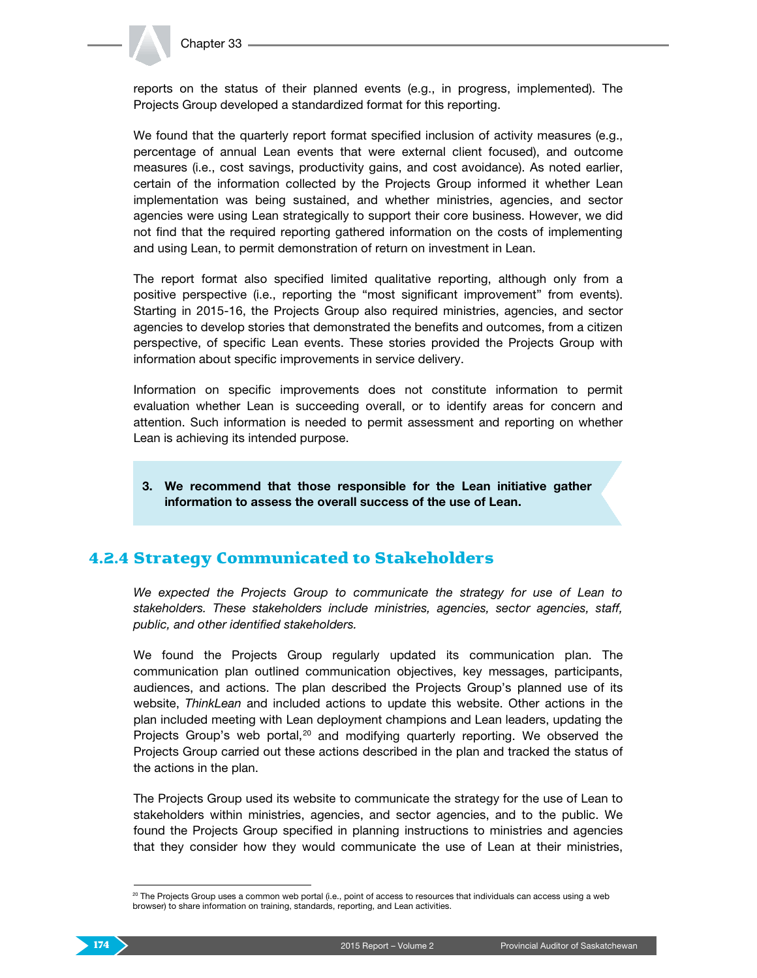

reports on the status of their planned events (e.g., in progress, implemented). The Projects Group developed a standardized format for this reporting.

We found that the quarterly report format specified inclusion of activity measures (e.g., percentage of annual Lean events that were external client focused), and outcome measures (i.e., cost savings, productivity gains, and cost avoidance). As noted earlier, certain of the information collected by the Projects Group informed it whether Lean implementation was being sustained, and whether ministries, agencies, and sector agencies were using Lean strategically to support their core business. However, we did not find that the required reporting gathered information on the costs of implementing and using Lean, to permit demonstration of return on investment in Lean.

The report format also specified limited qualitative reporting, although only from a positive perspective (i.e., reporting the "most significant improvement" from events). Starting in 2015-16, the Projects Group also required ministries, agencies, and sector agencies to develop stories that demonstrated the benefits and outcomes, from a citizen perspective, of specific Lean events. These stories provided the Projects Group with information about specific improvements in service delivery.

Information on specific improvements does not constitute information to permit evaluation whether Lean is succeeding overall, or to identify areas for concern and attention. Such information is needed to permit assessment and reporting on whether Lean is achieving its intended purpose.

3. We recommend that those responsible for the Lean initiative gather information to assess the overall success of the use of Lean.

### 4.2.4 Strategy Communicated to Stakeholders

We expected the Projects Group to communicate the strategy for use of Lean to *stakeholders. These stakeholders include ministries, agencies, sector agencies, staff, public, and other identified stakeholders.*

We found the Projects Group regularly updated its communication plan. The communication plan outlined communication objectives, key messages, participants, audiences, and actions. The plan described the Projects Group's planned use of its website, *ThinkLean* and included actions to update this website. Other actions in the plan included meeting with Lean deployment champions and Lean leaders, updating the Projects Group's web portal, $20$  and modifying quarterly reporting. We observed the Projects Group carried out these actions described in the plan and tracked the status of the actions in the plan.

The Projects Group used its website to communicate the strategy for the use of Lean to stakeholders within ministries, agencies, and sector agencies, and to the public. We found the Projects Group specified in planning instructions to ministries and agencies that they consider how they would communicate the use of Lean at their ministries,

<span id="page-13-0"></span> <sup>20</sup> The Projects Group uses a common web portal (i.e., point of access to resources that individuals can access using a web browser) to share information on training, standards, reporting, and Lean activities.

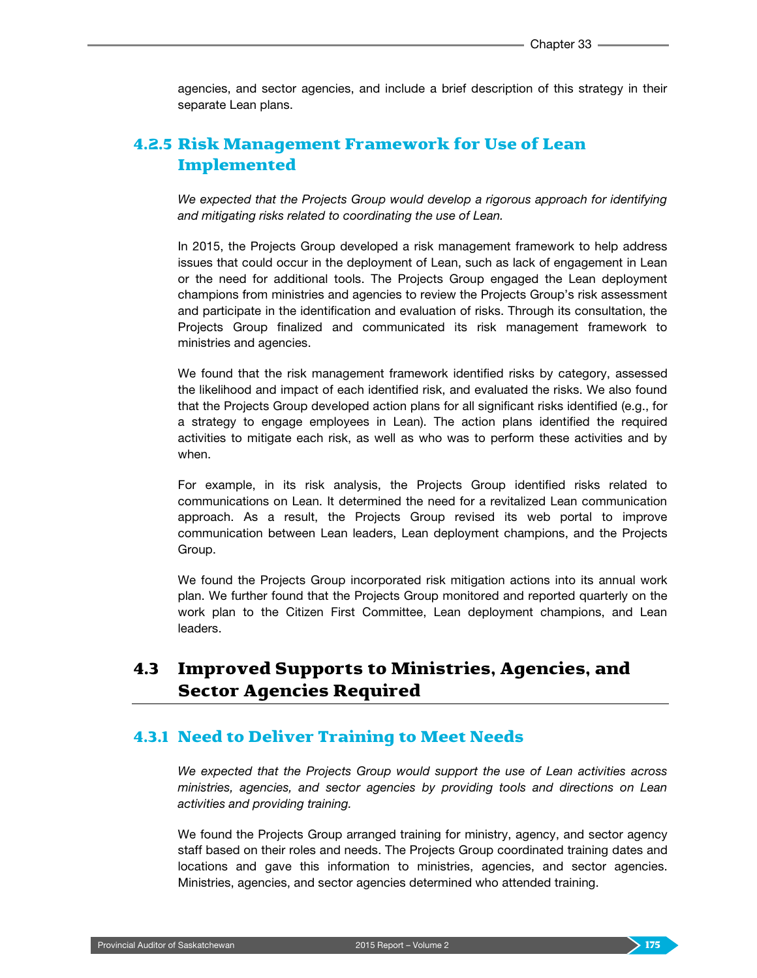agencies, and sector agencies, and include a brief description of this strategy in their separate Lean plans.

## 4.2.5 Risk Management Framework for Use of Lean Implemented

*We expected that the Projects Group would develop a rigorous approach for identifying and mitigating risks related to coordinating the use of Lean.*

In 2015, the Projects Group developed a risk management framework to help address issues that could occur in the deployment of Lean, such as lack of engagement in Lean or the need for additional tools. The Projects Group engaged the Lean deployment champions from ministries and agencies to review the Projects Group's risk assessment and participate in the identification and evaluation of risks. Through its consultation, the Projects Group finalized and communicated its risk management framework to ministries and agencies.

We found that the risk management framework identified risks by category, assessed the likelihood and impact of each identified risk, and evaluated the risks. We also found that the Projects Group developed action plans for all significant risks identified (e.g., for a strategy to engage employees in Lean). The action plans identified the required activities to mitigate each risk, as well as who was to perform these activities and by when.

For example, in its risk analysis, the Projects Group identified risks related to communications on Lean. It determined the need for a revitalized Lean communication approach. As a result, the Projects Group revised its web portal to improve communication between Lean leaders, Lean deployment champions, and the Projects Group.

We found the Projects Group incorporated risk mitigation actions into its annual work plan. We further found that the Projects Group monitored and reported quarterly on the work plan to the Citizen First Committee, Lean deployment champions, and Lean leaders.

## 4.3 Improved Supports to Ministries, Agencies, and Sector Agencies Required

### 4.3.1 Need to Deliver Training to Meet Needs

*We expected that the Projects Group would support the use of Lean activities across ministries, agencies, and sector agencies by providing tools and directions on Lean activities and providing training.*

We found the Projects Group arranged training for ministry, agency, and sector agency staff based on their roles and needs. The Projects Group coordinated training dates and locations and gave this information to ministries, agencies, and sector agencies. Ministries, agencies, and sector agencies determined who attended training.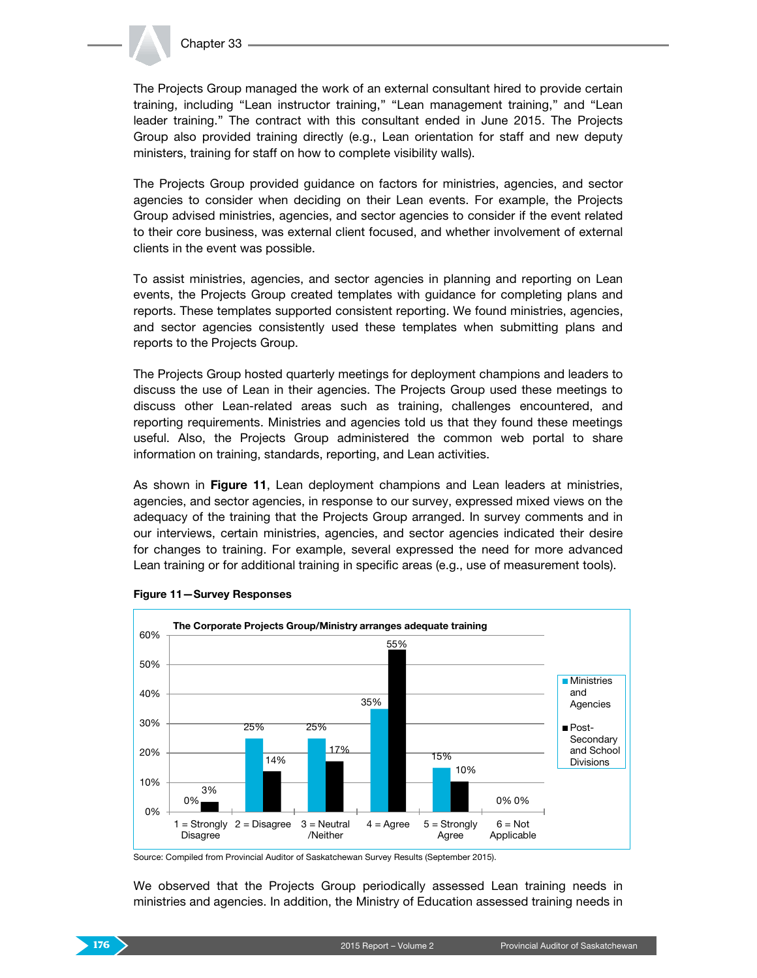

The Projects Group managed the work of an external consultant hired to provide certain training, including "Lean instructor training," "Lean management training," and "Lean leader training." The contract with this consultant ended in June 2015. The Projects Group also provided training directly (e.g., Lean orientation for staff and new deputy ministers, training for staff on how to complete visibility walls).

The Projects Group provided guidance on factors for ministries, agencies, and sector agencies to consider when deciding on their Lean events. For example, the Projects Group advised ministries, agencies, and sector agencies to consider if the event related to their core business, was external client focused, and whether involvement of external clients in the event was possible.

To assist ministries, agencies, and sector agencies in planning and reporting on Lean events, the Projects Group created templates with guidance for completing plans and reports. These templates supported consistent reporting. We found ministries, agencies, and sector agencies consistently used these templates when submitting plans and reports to the Projects Group.

The Projects Group hosted quarterly meetings for deployment champions and leaders to discuss the use of Lean in their agencies. The Projects Group used these meetings to discuss other Lean-related areas such as training, challenges encountered, and reporting requirements. Ministries and agencies told us that they found these meetings useful. Also, the Projects Group administered the common web portal to share information on training, standards, reporting, and Lean activities.

As shown in Figure 11, Lean deployment champions and Lean leaders at ministries, agencies, and sector agencies, in response to our survey, expressed mixed views on the adequacy of the training that the Projects Group arranged. In survey comments and in our interviews, certain ministries, agencies, and sector agencies indicated their desire for changes to training. For example, several expressed the need for more advanced Lean training or for additional training in specific areas (e.g., use of measurement tools).



#### Figure 11—Survey Responses

Source: Compiled from Provincial Auditor of Saskatchewan Survey Results (September 2015).

We observed that the Projects Group periodically assessed Lean training needs in ministries and agencies. In addition, the Ministry of Education assessed training needs in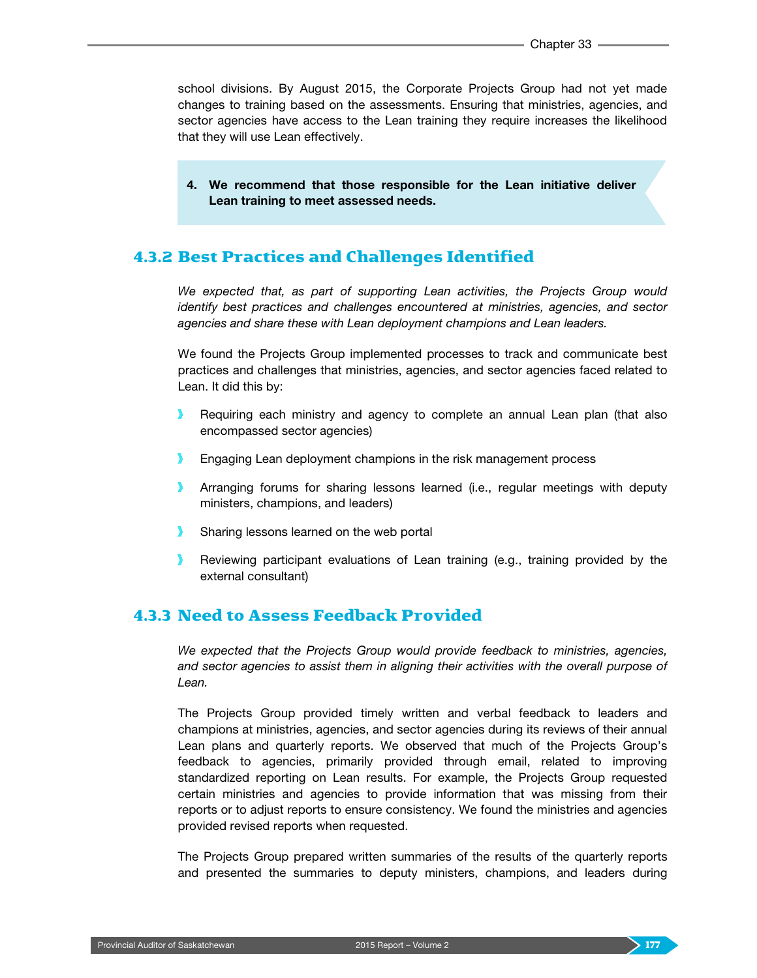school divisions. By August 2015, the Corporate Projects Group had not yet made changes to training based on the assessments. Ensuring that ministries, agencies, and sector agencies have access to the Lean training they require increases the likelihood that they will use Lean effectively.

4. We recommend that those responsible for the Lean initiative deliver Lean training to meet assessed needs.

## 4.3.2 Best Practices and Challenges Identified

*We expected that, as part of supporting Lean activities, the Projects Group would identify best practices and challenges encountered at ministries, agencies, and sector agencies and share these with Lean deployment champions and Lean leaders.*

We found the Projects Group implemented processes to track and communicate best practices and challenges that ministries, agencies, and sector agencies faced related to Lean. It did this by:

- Requiring each ministry and agency to complete an annual Lean plan (that also encompassed sector agencies)
- ъ. Engaging Lean deployment champions in the risk management process
- Arranging forums for sharing lessons learned (i.e., regular meetings with deputy ministers, champions, and leaders)
- Sharing lessons learned on the web portal
- $\mathbf{v}$ Reviewing participant evaluations of Lean training (e.g., training provided by the external consultant)

### 4.3.3 Need to Assess Feedback Provided

*We expected that the Projects Group would provide feedback to ministries, agencies, and sector agencies to assist them in aligning their activities with the overall purpose of Lean.*

The Projects Group provided timely written and verbal feedback to leaders and champions at ministries, agencies, and sector agencies during its reviews of their annual Lean plans and quarterly reports. We observed that much of the Projects Group's feedback to agencies, primarily provided through email, related to improving standardized reporting on Lean results. For example, the Projects Group requested certain ministries and agencies to provide information that was missing from their reports or to adjust reports to ensure consistency. We found the ministries and agencies provided revised reports when requested.

The Projects Group prepared written summaries of the results of the quarterly reports and presented the summaries to deputy ministers, champions, and leaders during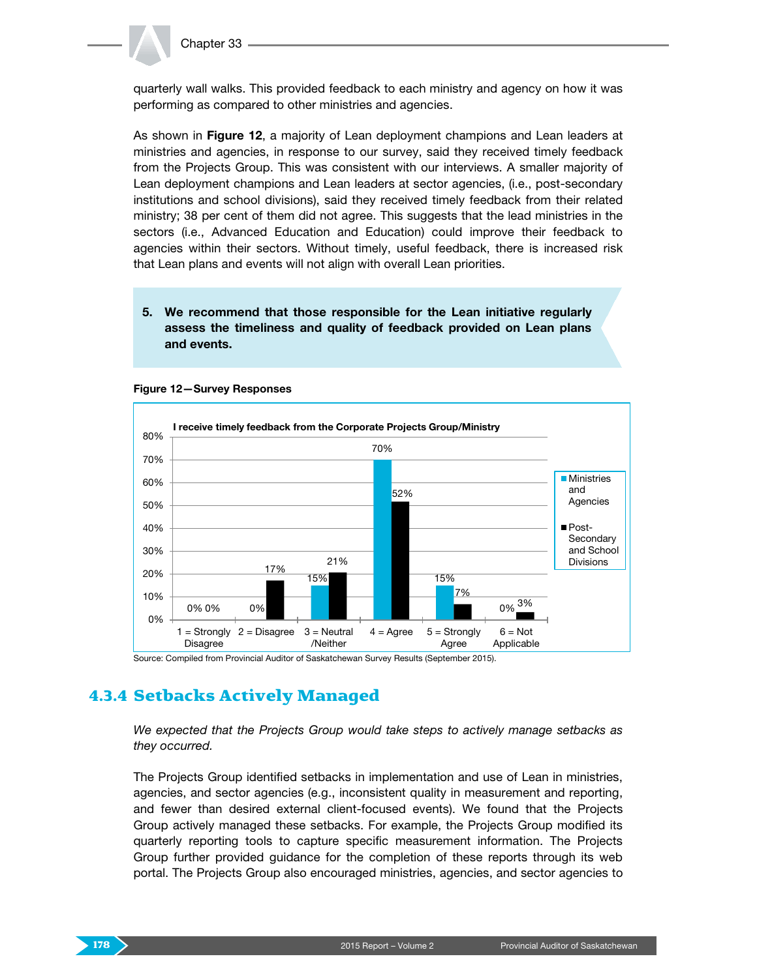

quarterly wall walks. This provided feedback to each ministry and agency on how it was performing as compared to other ministries and agencies.

As shown in Figure 12, a majority of Lean deployment champions and Lean leaders at ministries and agencies, in response to our survey, said they received timely feedback from the Projects Group. This was consistent with our interviews. A smaller majority of Lean deployment champions and Lean leaders at sector agencies, (i.e., post-secondary institutions and school divisions), said they received timely feedback from their related ministry; 38 per cent of them did not agree. This suggests that the lead ministries in the sectors (i.e., Advanced Education and Education) could improve their feedback to agencies within their sectors. Without timely, useful feedback, there is increased risk that Lean plans and events will not align with overall Lean priorities.

#### 5. We recommend that those responsible for the Lean initiative regularly assess the timeliness and quality of feedback provided on Lean plans and events.



#### Figure 12—Survey Responses

Source: Compiled from Provincial Auditor of Saskatchewan Survey Results (September 2015).

## 4.3.4 Setbacks Actively Managed

*We expected that the Projects Group would take steps to actively manage setbacks as they occurred.*

The Projects Group identified setbacks in implementation and use of Lean in ministries, agencies, and sector agencies (e.g., inconsistent quality in measurement and reporting, and fewer than desired external client-focused events). We found that the Projects Group actively managed these setbacks. For example, the Projects Group modified its quarterly reporting tools to capture specific measurement information. The Projects Group further provided guidance for the completion of these reports through its web portal. The Projects Group also encouraged ministries, agencies, and sector agencies to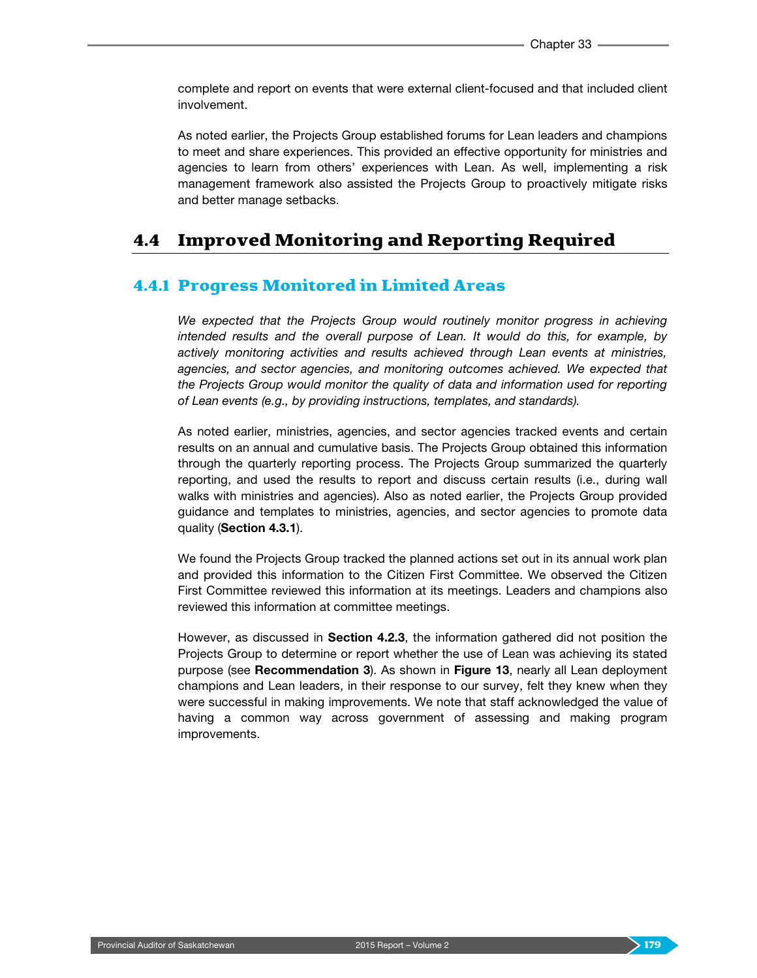complete and report on events that were external client-focused and that included client involvement.

As noted earlier, the Projects Group established forums for Lean leaders and champions to meet and share experiences. This provided an effective opportunity for ministries and agencies to learn from others' experiences with Lean. As well, implementing a risk management framework also assisted the Projects Group to proactively mitigate risks and better manage setbacks.

## 4.4 Improved Monitoring and Reporting Required

#### 4.4.1 Progress Monitored in Limited Areas

*We expected that the Projects Group would routinely monitor progress in achieving intended results and the overall purpose of Lean. It would do this, for example, by actively monitoring activities and results achieved through Lean events at ministries, agencies, and sector agencies, and monitoring outcomes achieved. We expected that the Projects Group would monitor the quality of data and information used for reporting of Lean events (e.g., by providing instructions, templates, and standards).*

As noted earlier, ministries, agencies, and sector agencies tracked events and certain results on an annual and cumulative basis. The Projects Group obtained this information through the quarterly reporting process. The Projects Group summarized the quarterly reporting, and used the results to report and discuss certain results (i.e., during wall walks with ministries and agencies). Also as noted earlier, the Projects Group provided guidance and templates to ministries, agencies, and sector agencies to promote data quality (Section 4.3.1).

We found the Projects Group tracked the planned actions set out in its annual work plan and provided this information to the Citizen First Committee. We observed the Citizen First Committee reviewed this information at its meetings. Leaders and champions also reviewed this information at committee meetings.

However, as discussed in **Section 4.2.3**, the information gathered did not position the Projects Group to determine or report whether the use of Lean was achieving its stated purpose (see Recommendation 3). As shown in Figure 13, nearly all Lean deployment champions and Lean leaders, in their response to our survey, felt they knew when they were successful in making improvements. We note that staff acknowledged the value of having a common way across government of assessing and making program improvements.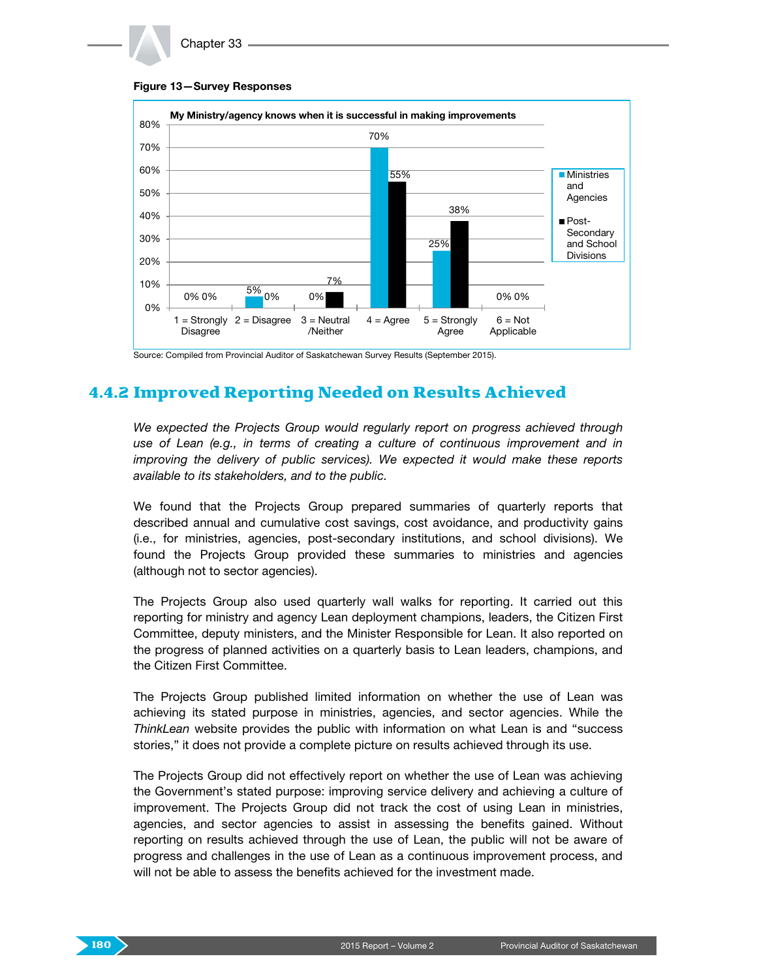





Source: Compiled from Provincial Auditor of Saskatchewan Survey Results (September 2015).

## 4.4.2 Improved Reporting Needed on Results Achieved

*We expected the Projects Group would regularly report on progress achieved through use of Lean (e.g., in terms of creating a culture of continuous improvement and in improving the delivery of public services). We expected it would make these reports available to its stakeholders, and to the public.*

We found that the Projects Group prepared summaries of quarterly reports that described annual and cumulative cost savings, cost avoidance, and productivity gains (i.e., for ministries, agencies, post-secondary institutions, and school divisions). We found the Projects Group provided these summaries to ministries and agencies (although not to sector agencies).

The Projects Group also used quarterly wall walks for reporting. It carried out this reporting for ministry and agency Lean deployment champions, leaders, the Citizen First Committee, deputy ministers, and the Minister Responsible for Lean. It also reported on the progress of planned activities on a quarterly basis to Lean leaders, champions, and the Citizen First Committee.

The Projects Group published limited information on whether the use of Lean was achieving its stated purpose in ministries, agencies, and sector agencies. While the *ThinkLean* website provides the public with information on what Lean is and "success stories," it does not provide a complete picture on results achieved through its use.

The Projects Group did not effectively report on whether the use of Lean was achieving the Government's stated purpose: improving service delivery and achieving a culture of improvement. The Projects Group did not track the cost of using Lean in ministries, agencies, and sector agencies to assist in assessing the benefits gained. Without reporting on results achieved through the use of Lean, the public will not be aware of progress and challenges in the use of Lean as a continuous improvement process, and will not be able to assess the benefits achieved for the investment made.

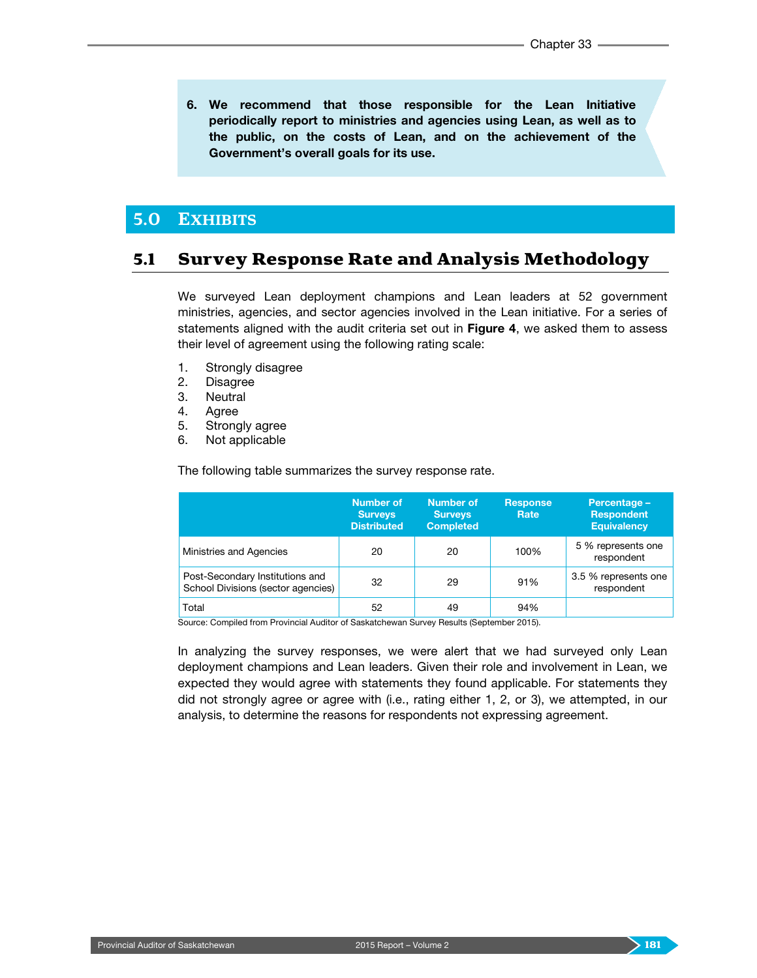6. We recommend that those responsible for the Lean Initiative periodically report to ministries and agencies using Lean, as well as to the public, on the costs of Lean, and on the achievement of the Government's overall goals for its use.

### **5.0 EXHIBITS**

## 5.1 Survey Response Rate and Analysis Methodology

We surveyed Lean deployment champions and Lean leaders at 52 government ministries, agencies, and sector agencies involved in the Lean initiative. For a series of statements aligned with the audit criteria set out in Figure 4, we asked them to assess their level of agreement using the following rating scale:

- 1. Strongly disagree
- 2. Disagree
- 3. Neutral
- 4. Agree
- 5. Strongly agree
- 6. Not applicable

The following table summarizes the survey response rate.

|                                                                       | <b>Number of</b><br><b>Surveys</b><br><b>Distributed</b> | <b>Number of</b><br><b>Surveys</b><br><b>Completed</b> | <b>Response</b><br>Rate | Percentage -<br><b>Respondent</b><br><b>Equivalency</b> |
|-----------------------------------------------------------------------|----------------------------------------------------------|--------------------------------------------------------|-------------------------|---------------------------------------------------------|
| Ministries and Agencies                                               | 20                                                       | 20                                                     | 100%                    | 5 % represents one<br>respondent                        |
| Post-Secondary Institutions and<br>School Divisions (sector agencies) | 32                                                       | 29                                                     | 91%                     | 3.5 % represents one<br>respondent                      |
| Total                                                                 | 52                                                       | 49                                                     | 94%                     |                                                         |

Source: Compiled from Provincial Auditor of Saskatchewan Survey Results (September 2015).

In analyzing the survey responses, we were alert that we had surveyed only Lean deployment champions and Lean leaders. Given their role and involvement in Lean, we expected they would agree with statements they found applicable. For statements they did not strongly agree or agree with (i.e., rating either 1, 2, or 3), we attempted, in our analysis, to determine the reasons for respondents not expressing agreement.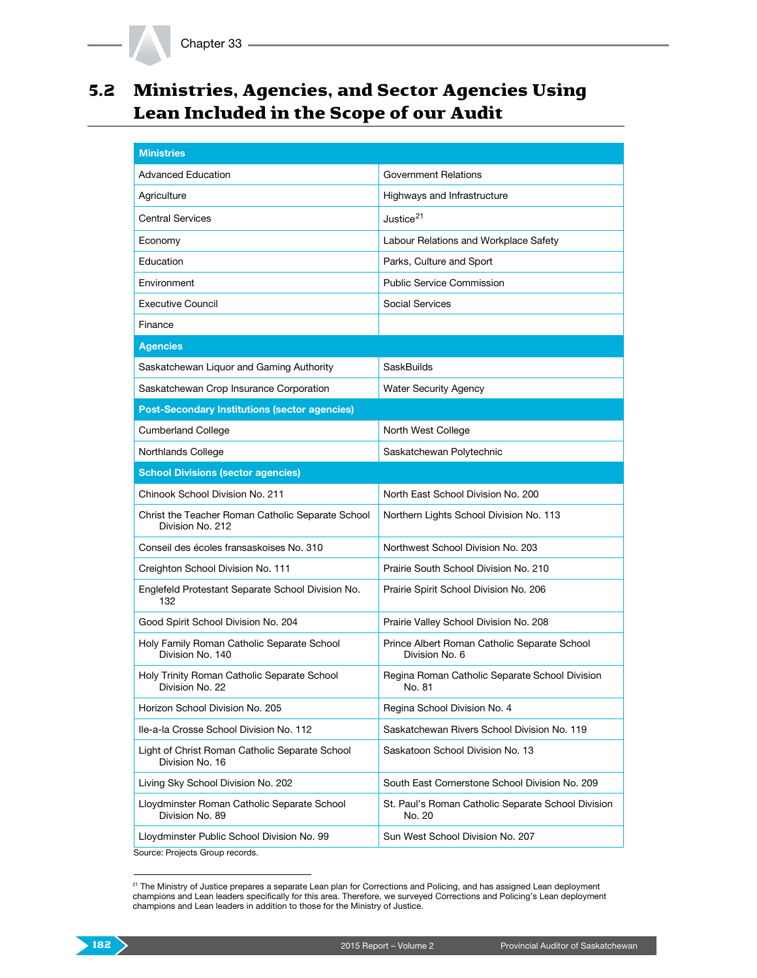# 5.2 Ministries, Agencies, and Sector Agencies Using Lean Included in the Scope of our Audit

| <b>Ministries</b>                                                     |                                                                |  |  |
|-----------------------------------------------------------------------|----------------------------------------------------------------|--|--|
| <b>Advanced Education</b>                                             | Government Relations                                           |  |  |
| Agriculture                                                           | Highways and Infrastructure                                    |  |  |
| <b>Central Services</b>                                               | Justice <sup>21</sup>                                          |  |  |
| Economy                                                               | Labour Relations and Workplace Safety                          |  |  |
| Education                                                             | Parks, Culture and Sport                                       |  |  |
| Environment                                                           | <b>Public Service Commission</b>                               |  |  |
| <b>Executive Council</b>                                              | Social Services                                                |  |  |
| Finance                                                               |                                                                |  |  |
| <b>Agencies</b>                                                       |                                                                |  |  |
| Saskatchewan Liquor and Gaming Authority                              | SaskBuilds                                                     |  |  |
| Saskatchewan Crop Insurance Corporation                               | <b>Water Security Agency</b>                                   |  |  |
| <b>Post-Secondary Institutions (sector agencies)</b>                  |                                                                |  |  |
| <b>Cumberland College</b>                                             | North West College                                             |  |  |
| Northlands College                                                    | Saskatchewan Polytechnic                                       |  |  |
| <b>School Divisions (sector agencies)</b>                             |                                                                |  |  |
| Chinook School Division No. 211                                       | North East School Division No. 200                             |  |  |
| Christ the Teacher Roman Catholic Separate School<br>Division No. 212 | Northern Lights School Division No. 113                        |  |  |
| Conseil des écoles fransaskoises No. 310                              | Northwest School Division No. 203                              |  |  |
| Creighton School Division No. 111                                     | Prairie South School Division No. 210                          |  |  |
| Englefeld Protestant Separate School Division No.<br>132              | Prairie Spirit School Division No. 206                         |  |  |
| Good Spirit School Division No. 204                                   | Prairie Valley School Division No. 208                         |  |  |
| Holy Family Roman Catholic Separate School<br>Division No. 140        | Prince Albert Roman Catholic Separate School<br>Division No. 6 |  |  |
| Holy Trinity Roman Catholic Separate School<br>Division No. 22        | Regina Roman Catholic Separate School Division<br>No. 81       |  |  |
| Horizon School Division No. 205                                       | Regina School Division No. 4                                   |  |  |
| Ile-a-la Crosse School Division No. 112                               | Saskatchewan Rivers School Division No. 119                    |  |  |
| Light of Christ Roman Catholic Separate School<br>Division No. 16     | Saskatoon School Division No. 13                               |  |  |
| Living Sky School Division No. 202                                    | South East Cornerstone School Division No. 209                 |  |  |
| Lloydminster Roman Catholic Separate School<br>Division No. 89        | St. Paul's Roman Catholic Separate School Division<br>No. 20   |  |  |
| Lloydminster Public School Division No. 99                            | Sun West School Division No. 207                               |  |  |
| Course: Draigate Croup reserve                                        |                                                                |  |  |

Source: Projects Group records.

<span id="page-21-0"></span><sup>&</sup>lt;sup>21</sup> The Ministry of Justice prepares a separate Lean plan for Corrections and Policing, and has assigned Lean deployment champions and Lean leaders specifically for this area. Therefore, we surveyed Corrections and Policing's Lean deployment champions and Lean leaders in addition to those for the Ministry of Justice.